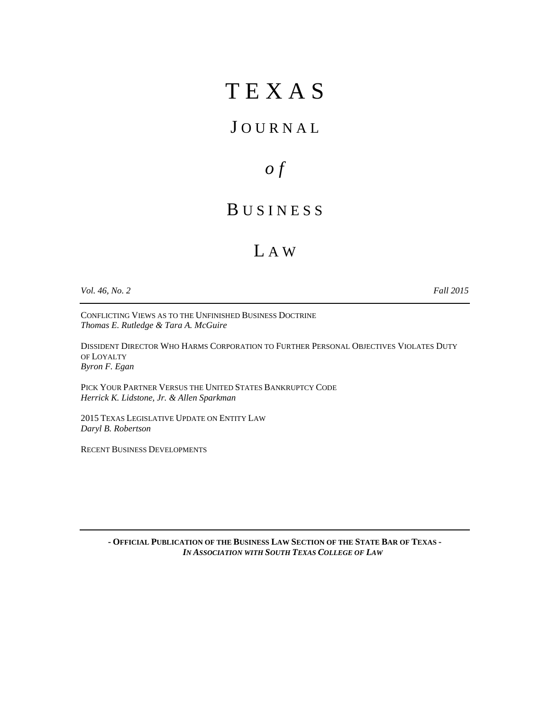# T E X A S

### J O U R N A L

*o f* 

### B U S I N E S S

## L A W

*Vol. 46, No. 2 Fall 2015* 

CONFLICTING VIEWS AS TO THE UNFINISHED BUSINESS DOCTRINE *Thomas E. Rutledge & Tara A. McGuire*

DISSIDENT DIRECTOR WHO HARMS CORPORATION TO FURTHER PERSONAL OBJECTIVES VIOLATES DUTY OF LOYALTY *Byron F. Egan* 

PICK YOUR PARTNER VERSUS THE UNITED STATES BANKRUPTCY CODE *Herrick K. Lidstone, Jr. & Allen Sparkman*

2015 TEXAS LEGISLATIVE UPDATE ON ENTITY LAW *Daryl B. Robertson* 

RECENT BUSINESS DEVELOPMENTS

**- OFFICIAL PUBLICATION OF THE BUSINESS LAW SECTION OF THE STATE BAR OF TEXAS -**  *IN ASSOCIATION WITH SOUTH TEXAS COLLEGE OF LAW*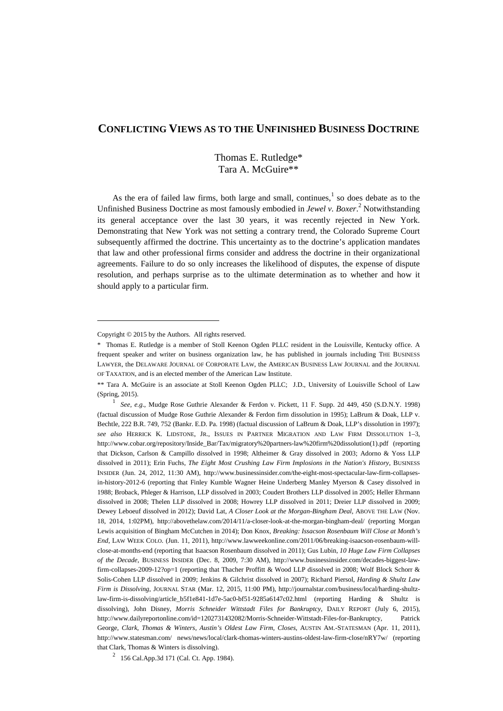### **CONFLICTING VIEWS AS TO THE UNFINISHED BUSINESS DOCTRINE**

#### Thomas E. Rutledge\* Tara A. McGuire\*\*

As the era of failed law firms, both large and small, continues, $<sup>1</sup>$  so does debate as to the</sup> Unfinished Business Doctrine as most famously embodied in *Jewel v. Boxer*.<sup>2</sup> Notwithstanding its general acceptance over the last 30 years, it was recently rejected in New York. Demonstrating that New York was not setting a contrary trend, the Colorado Supreme Court subsequently affirmed the doctrine. This uncertainty as to the doctrine's application mandates that law and other professional firms consider and address the doctrine in their organizational agreements. Failure to do so only increases the likelihood of disputes, the expense of dispute resolution, and perhaps surprise as to the ultimate determination as to whether and how it should apply to a particular firm.

 $\overline{a}$ 

 $2^{2}$  156 Cal.App.3d 171 (Cal. Ct. App. 1984).

Copyright © 2015 by the Authors. All rights reserved.

<sup>\*</sup> Thomas E. Rutledge is a member of Stoll Keenon Ogden PLLC resident in the Louisville, Kentucky office. A frequent speaker and writer on business organization law, he has published in journals including THE BUSINESS LAWYER, the DELAWARE JOURNAL OF CORPORATE LAW, the AMERICAN BUSINESS LAW JOURNAL and the JOURNAL OF TAXATION, and is an elected member of the American Law Institute.

<sup>\*\*</sup> Tara A. McGuire is an associate at Stoll Keenon Ogden PLLC; J.D., University of Louisville School of Law (Spring, 2015).

<sup>1</sup> *See, e.g.*, Mudge Rose Guthrie Alexander & Ferdon v. Pickett, 11 F. Supp. 2d 449, 450 (S.D.N.Y. 1998) (factual discussion of Mudge Rose Guthrie Alexander & Ferdon firm dissolution in 1995); LaBrum & Doak, LLP v. Bechtle, 222 B.R. 749, 752 (Bankr. E.D. Pa. 1998) (factual discussion of LaBrum & Doak, LLP's dissolution in 1997); *see also* HERRICK K. LIDSTONE, JR., ISSUES IN PARTNER MIGRATION AND LAW FIRM DISSOLUTION 1–3, http://www.cobar.org/repository/Inside\_Bar/Tax/migratory%20partners-law%20firm%20dissolution(1).pdf (reporting that Dickson, Carlson & Campillo dissolved in 1998; Altheimer & Gray dissolved in 2003; Adorno & Yoss LLP dissolved in 2011); Erin Fuchs, *The Eight Most Crushing Law Firm Implosions in the Nation's History*, BUSINESS INSIDER (Jun. 24, 2012, 11:30 AM), http://www.businessinsider.com/the-eight-most-spectacular-law-firm-collapsesin-history-2012-6 (reporting that Finley Kumble Wagner Heine Underberg Manley Myerson & Casey dissolved in 1988; Broback, Phleger & Harrison, LLP dissolved in 2003; Coudert Brothers LLP dissolved in 2005; Heller Ehrmann dissolved in 2008; Thelen LLP dissolved in 2008; Howrey LLP dissolved in 2011; Dreier LLP dissolved in 2009; Dewey Leboeuf dissolved in 2012); David Lat, *A Closer Look at the Morgan-Bingham Deal*, ABOVE THE LAW (Nov. 18, 2014, 1:02PM), http://abovethelaw.com/2014/11/a-closer-look-at-the-morgan-bingham-deal/ (reporting Morgan Lewis acquisition of Bingham McCutchen in 2014); Don Knox, *Breaking: Issacson Rosenbaum Will Close at Month's End*, LAW WEEK COLO. (Jun. 11, 2011), http://www.lawweekonline.com/2011/06/breaking-isaacson-rosenbaum-willclose-at-months-end (reporting that Isaacson Rosenbaum dissolved in 2011); Gus Lubin, *10 Huge Law Firm Collapses of the Decade*, BUSINESS INSIDER (Dec. 8, 2009, 7:30 AM), http://www.businessinsider.com/decades-biggest-lawfirm-collapses-2009-12?op=1 (reporting that Thacher Proffitt & Wood LLP dissolved in 2008; Wolf Block Schorr & Solis-Cohen LLP dissolved in 2009; Jenkins & Gilchrist dissolved in 2007); Richard Piersol, *Harding & Shultz Law Firm is Dissolving*, JOURNAL STAR (Mar. 12, 2015, 11:00 PM), http://journalstar.com/business/local/harding-shultzlaw-firm-is-dissolving/article\_b5f1e841-1d7e-5ac0-bf51-9285a6147c02.html (reporting Harding & Shultz is dissolving), John Disney, *Morris Schneider Wittstadt Files for Bankruptcy*, DAILY REPORT (July 6, 2015), http://www.dailyreportonline.com/id=1202731432082/Morris-Schneider-Wittstadt-Files-for-Bankruptcy, Patrick George*, Clark, Thomas & Winters, Austin's Oldest Law Firm, Closes*, AUSTIN AM.-STATESMAN (Apr. 11, 2011), http://www.statesman.com/ news/news/local/clark-thomas-winters-austins-oldest-law-firm-close/nRY7w/ (reporting that Clark, Thomas & Winters is dissolving).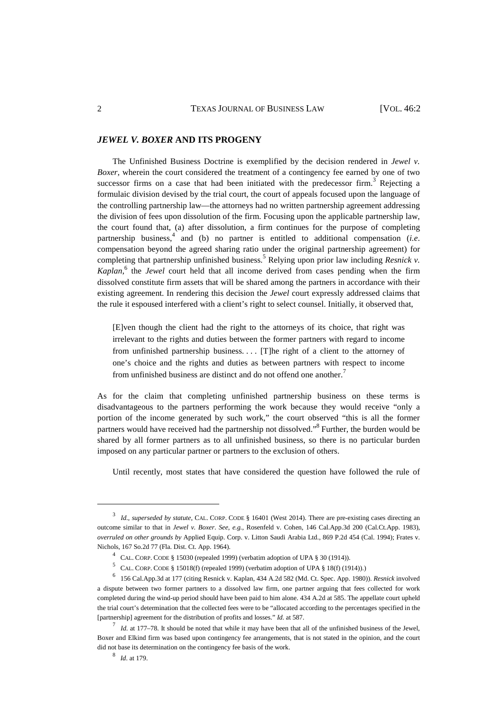#### *JEWEL V. BOXER* **AND ITS PROGENY**

The Unfinished Business Doctrine is exemplified by the decision rendered in *Jewel v. Boxer*, wherein the court considered the treatment of a contingency fee earned by one of two successor firms on a case that had been initiated with the predecessor firm.<sup>3</sup> Rejecting a formulaic division devised by the trial court, the court of appeals focused upon the language of the controlling partnership law—the attorneys had no written partnership agreement addressing the division of fees upon dissolution of the firm. Focusing upon the applicable partnership law, the court found that, (a) after dissolution, a firm continues for the purpose of completing partnership business,<sup>4</sup> and (b) no partner is entitled to additional compensation (*i.e.* compensation beyond the agreed sharing ratio under the original partnership agreement) for completing that partnership unfinished business.<sup>5</sup> Relying upon prior law including *Resnick v*. *Kaplan*, 6 the *Jewel* court held that all income derived from cases pending when the firm dissolved constitute firm assets that will be shared among the partners in accordance with their existing agreement. In rendering this decision the *Jewel* court expressly addressed claims that the rule it espoused interfered with a client's right to select counsel. Initially, it observed that,

[E]ven though the client had the right to the attorneys of its choice, that right was irrelevant to the rights and duties between the former partners with regard to income from unfinished partnership business. . . . [T]he right of a client to the attorney of one's choice and the rights and duties as between partners with respect to income from unfinished business are distinct and do not offend one another.<sup>7</sup>

As for the claim that completing unfinished partnership business on these terms is disadvantageous to the partners performing the work because they would receive "only a portion of the income generated by such work," the court observed "this is all the former partners would have received had the partnership not dissolved."<sup>8</sup> Further, the burden would be shared by all former partners as to all unfinished business, so there is no particular burden imposed on any particular partner or partners to the exclusion of others.

Until recently, most states that have considered the question have followed the rule of

<sup>3</sup> *Id.*, *superseded by statute*, CAL. CORP. CODE § 16401 (West 2014). There are pre-existing cases directing an outcome similar to that in *Jewel v. Boxer*. *See*, *e.g.*, Rosenfeld v. Cohen, 146 Cal.App.3d 200 (Cal.Ct.App. 1983), *overruled on other grounds by* Applied Equip. Corp. v. Litton Saudi Arabia Ltd., 869 P.2d 454 (Cal. 1994); Frates v. Nichols, 167 So.2d 77 (Fla. Dist. Ct. App. 1964).

<sup>&</sup>lt;sup>4</sup> CAL. CORP. CODE § 15030 (repealed 1999) (verbatim adoption of UPA § 30 (1914)).

<sup>&</sup>lt;sup>5</sup> CAL. CORP. CODE § 15018(f) (repealed 1999) (verbatim adoption of UPA § 18(f) (1914)).)

<sup>6</sup> 156 Cal.App.3d at 177 (citing Resnick v. Kaplan, 434 A.2d 582 (Md. Ct. Spec. App. 1980)). *Resnick* involved a dispute between two former partners to a dissolved law firm, one partner arguing that fees collected for work completed during the wind-up period should have been paid to him alone. 434 A.2d at 585. The appellate court upheld the trial court's determination that the collected fees were to be "allocated according to the percentages specified in the [partnership] agreement for the distribution of profits and losses." *Id.* at 587.

<sup>7</sup> *Id.* at 177–78. It should be noted that while it may have been that all of the unfinished business of the Jewel, Boxer and Elkind firm was based upon contingency fee arrangements, that is not stated in the opinion, and the court did not base its determination on the contingency fee basis of the work.

<sup>8</sup> *Id*. at 179.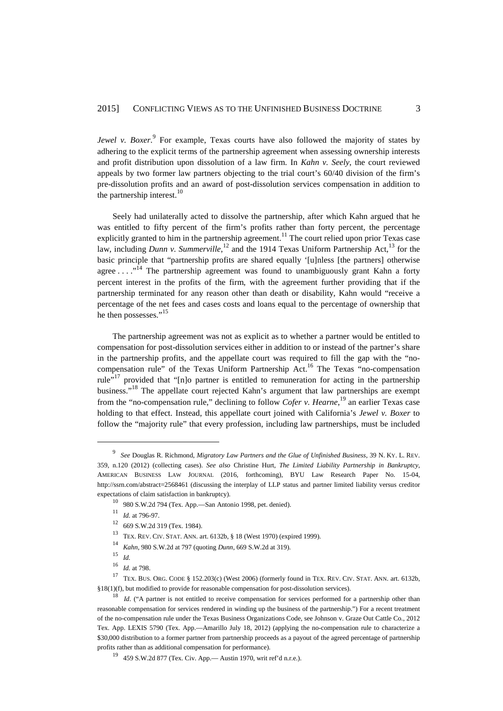*Jewel v. Boxer.* For example, Texas courts have also followed the majority of states by adhering to the explicit terms of the partnership agreement when assessing ownership interests and profit distribution upon dissolution of a law firm. In *Kahn v. Seely*, the court reviewed appeals by two former law partners objecting to the trial court's 60/40 division of the firm's pre-dissolution profits and an award of post-dissolution services compensation in addition to the partnership interest. $10$ 

Seely had unilaterally acted to dissolve the partnership, after which Kahn argued that he was entitled to fifty percent of the firm's profits rather than forty percent, the percentage explicitly granted to him in the partnership agreement.<sup>11</sup> The court relied upon prior Texas case law, including *Dunn v. Summerville*,<sup>12</sup> and the 1914 Texas Uniform Partnership Act,<sup>13</sup> for the basic principle that "partnership profits are shared equally '[u]nless [the partners] otherwise agree  $\dots$ ."<sup>14</sup> The partnership agreement was found to unambiguously grant Kahn a forty percent interest in the profits of the firm, with the agreement further providing that if the partnership terminated for any reason other than death or disability, Kahn would "receive a percentage of the net fees and cases costs and loans equal to the percentage of ownership that he then possesses."<sup>15</sup>

The partnership agreement was not as explicit as to whether a partner would be entitled to compensation for post-dissolution services either in addition to or instead of the partner's share in the partnership profits, and the appellate court was required to fill the gap with the "nocompensation rule" of the Texas Uniform Partnership Act.<sup>16</sup> The Texas "no-compensation rule"<sup>17</sup> provided that "[n]o partner is entitled to remuneration for acting in the partnership business."<sup>18</sup> The appellate court rejected Kahn's argument that law partnerships are exempt from the "no-compensation rule," declining to follow *Cofer v. Hearne*, <sup>19</sup> an earlier Texas case holding to that effect. Instead, this appellate court joined with California's *Jewel v. Boxer* to follow the "majority rule" that every profession, including law partnerships, must be included

<sup>9</sup> *See* Douglas R. Richmond, *Migratory Law Partners and the Glue of Unfinished Business*, 39 N. KY. L. REV. 359, n.120 (2012) (collecting cases). *See also* Christine Hurt, *The Limited Liability Partnership in Bankruptcy*, AMERICAN BUSINESS LAW JOURNAL (2016, forthcoming), BYU Law Research Paper No. 15-04, http://ssrn.com/abstract=2568461 (discussing the interplay of LLP status and partner limited liability versus creditor expectations of claim satisfaction in bankruptcy).

<sup>10</sup> 980 S.W.2d 794 (Tex. App.—San Antonio 1998, pet. denied).

<sup>11</sup> *Id.* at 796-97.

<sup>12</sup> 669 S.W.2d 319 (Tex. 1984).

<sup>&</sup>lt;sup>13</sup> TEX. REV. CIV. STAT. ANN. art. 6132b, § 18 (West 1970) (expired 1999).<br><sup>14</sup> Kelu, 080 S.W. 34 at 707 (evoting Drum, 660 S.W. 34 at 210).

<sup>14</sup> *Kahn*, 980 S.W.2d at 797 (quoting *Dunn*, 669 S.W.2d at 319).

<sup>15</sup> *Id.*

<sup>16</sup> *Id.* at 798.

<sup>17</sup> TEX. BUS. ORG. CODE § 152.203(c) (West 2006) (formerly found in TEX. REV. CIV. STAT. ANN. art. 6132b, §18(1)(f), but modified to provide for reasonable compensation for post-dissolution services).

<sup>&</sup>lt;sup>18</sup> *Id.* ("A partner is not entitled to receive compensation for services performed for a partnership other than reasonable compensation for services rendered in winding up the business of the partnership.") For a recent treatment of the no-compensation rule under the Texas Business Organizations Code, see Johnson v. Graze Out Cattle Co., 2012 Tex. App. LEXIS 5790 (Tex. App.—Amarillo July 18, 2012) (applying the no-compensation rule to characterize a \$30,000 distribution to a former partner from partnership proceeds as a payout of the agreed percentage of partnership profits rather than as additional compensation for performance).

<sup>&</sup>lt;sup>19</sup> 459 S.W.2d 877 (Tex. Civ. App.— Austin 1970, writ ref'd n.r.e.).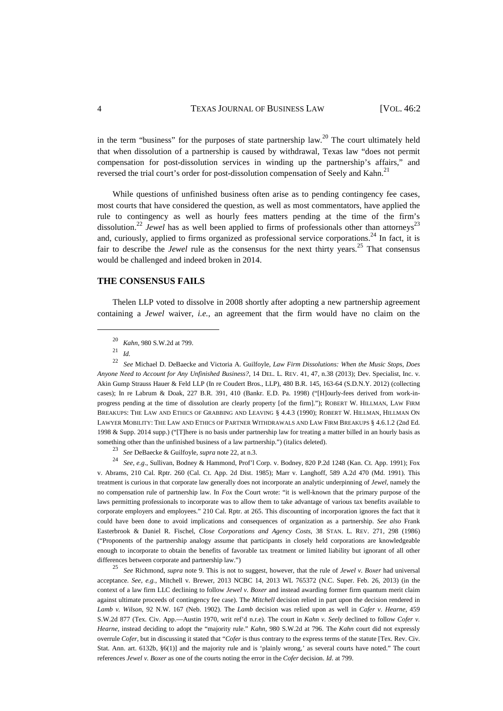in the term "business" for the purposes of state partnership  $law<sup>20</sup>$ . The court ultimately held that when dissolution of a partnership is caused by withdrawal, Texas law "does not permit compensation for post-dissolution services in winding up the partnership's affairs," and reversed the trial court's order for post-dissolution compensation of Seely and Kahn.<sup>21</sup>

While questions of unfinished business often arise as to pending contingency fee cases, most courts that have considered the question, as well as most commentators, have applied the rule to contingency as well as hourly fees matters pending at the time of the firm's dissolution.<sup>22</sup> *Jewel* has as well been applied to firms of professionals other than attorneys<sup>23</sup> and, curiously, applied to firms organized as professional service corporations.<sup>24</sup> In fact, it is fair to describe the *Jewel* rule as the consensus for the next thirty years.<sup>25</sup> That consensus would be challenged and indeed broken in 2014.

#### **THE CONSENSUS FAILS**

Thelen LLP voted to dissolve in 2008 shortly after adopting a new partnership agreement containing a *Jewel* waiver, *i.e.*, an agreement that the firm would have no claim on the

 $\overline{a}$ 

<sup>23</sup> *See* DeBaecke & Guilfoyle, *supra* note 22, at n.3.

<sup>24</sup> *See*, *e.g*., Sullivan, Bodney & Hammond, Prof'l Corp. v. Bodney, 820 P.2d 1248 (Kan. Ct. App. 1991); Fox v. Abrams, 210 Cal. Rptr. 260 (Cal. Ct. App. 2d Dist. 1985); Marr v. Langhoff, 589 A.2d 470 (Md. 1991). This treatment is curious in that corporate law generally does not incorporate an analytic underpinning of *Jewel*, namely the no compensation rule of partnership law. In *Fox* the Court wrote: "it is well-known that the primary purpose of the laws permitting professionals to incorporate was to allow them to take advantage of various tax benefits available to corporate employers and employees." 210 Cal. Rptr. at 265. This discounting of incorporation ignores the fact that it could have been done to avoid implications and consequences of organization as a partnership. *See also* Frank Easterbrook & Daniel R. Fischel, *Close Corporations and Agency Costs*, 38 STAN. L. REV. 271, 298 (1986) ("Proponents of the partnership analogy assume that participants in closely held corporations are knowledgeable enough to incorporate to obtain the benefits of favorable tax treatment or limited liability but ignorant of all other differences between corporate and partnership law.")

<sup>25</sup> *See* Richmond, *supra* note 9. This is not to suggest, however, that the rule of *Jewel v. Boxer* had universal acceptance. *See*, *e.g.*, Mitchell v. Brewer, 2013 NCBC 14, 2013 WL 765372 (N.C. Super. Feb. 26, 2013) (in the context of a law firm LLC declining to follow *Jewel v. Boxer* and instead awarding former firm quantum merit claim against ultimate proceeds of contingency fee case). The *Mitchell* decision relied in part upon the decision rendered in *Lamb v. Wilson*, 92 N.W. 167 (Neb. 1902). The *Lamb* decision was relied upon as well in *Cafer v. Hearne*, 459 S.W.2d 877 (Tex. Civ. App.—Austin 1970, writ ref'd n.r.e). The court in *Kahn v. Seely* declined to follow *Cofer v. Hearne*, instead deciding to adopt the "majority rule." *Kahn,* 980 S.W.2d at 796. The *Kahn* court did not expressly overrule *Cofer*, but in discussing it stated that "*Cofer* is thus contrary to the express terms of the statute [Tex. Rev. Civ. Stat. Ann. art. 6132b, §6(1)] and the majority rule and is 'plainly wrong,' as several courts have noted." The court references *Jewel v. Boxer* as one of the courts noting the error in the *Cofer* decision. *Id.* at 799.

<sup>&</sup>lt;sup>20</sup> *Kahn*, 980 S.W.2d at 799.

<sup>21</sup> *Id.*

<sup>22</sup> *See* Michael D. DeBaecke and Victoria A. Guilfoyle, *Law Firm Dissolutions: When the Music Stops, Does Anyone Need to Account for Any Unfinished Business?*, 14 DEL. L. REV. 41, 47, n.38 (2013); Dev. Specialist, Inc. v. Akin Gump Strauss Hauer & Feld LLP (In re Coudert Bros., LLP), 480 B.R. 145, 163-64 (S.D.N.Y. 2012) (collecting cases); In re Labrum & Doak, 227 B.R. 391, 410 (Bankr. E.D. Pa. 1998) ("[H]ourly-fees derived from work-inprogress pending at the time of dissolution are clearly property [of the firm]."); ROBERT W. HILLMAN, LAW FIRM BREAKUPS: THE LAW AND ETHICS OF GRABBING AND LEAVING § 4.4.3 (1990); ROBERT W. HILLMAN, HILLMAN ON LAWYER MOBILITY: THE LAW AND ETHICS OF PARTNER WITHDRAWALS AND LAW FIRM BREAKUPS § 4.6.1.2. (2nd Ed. 1998 & Supp. 2014 supp.) ("[T]here is no basis under partnership law for treating a matter billed in an hourly basis as something other than the unfinished business of a law partnership.") (italics deleted).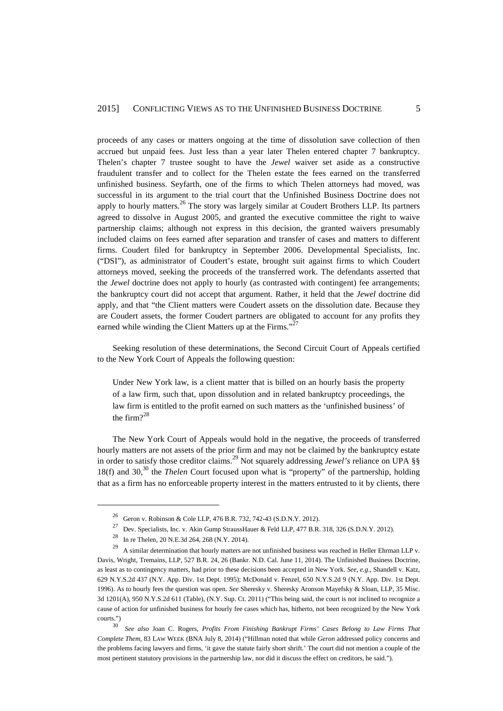proceeds of any cases or matters ongoing at the time of dissolution save collection of then accrued but unpaid fees. Just less than a year later Thelen entered chapter 7 bankruptcy. Thelen's chapter 7 trustee sought to have the *Jewel* waiver set aside as a constructive fraudulent transfer and to collect for the Thelen estate the fees earned on the transferred unfinished business. Seyfarth, one of the firms to which Thelen attorneys had moved, was successful in its argument to the trial court that the Unfinished Business Doctrine does not apply to hourly matters.<sup>26</sup> The story was largely similar at Coudert Brothers LLP. Its partners agreed to dissolve in August 2005, and granted the executive committee the right to waive partnership claims; although not express in this decision, the granted waivers presumably included claims on fees earned after separation and transfer of cases and matters to different firms. Coudert filed for bankruptcy in September 2006. Developmental Specialists, Inc. ("DSI"), as administrator of Coudert's estate, brought suit against firms to which Coudert attorneys moved, seeking the proceeds of the transferred work. The defendants asserted that the *Jewel* doctrine does not apply to hourly (as contrasted with contingent) fee arrangements; the bankruptcy court did not accept that argument. Rather, it held that the *Jewel* doctrine did apply, and that "the Client matters were Coudert assets on the dissolution date. Because they are Coudert assets, the former Coudert partners are obligated to account for any profits they earned while winding the Client Matters up at the Firms."<sup>27</sup>

Seeking resolution of these determinations, the Second Circuit Court of Appeals certified to the New York Court of Appeals the following question:

Under New York law, is a client matter that is billed on an hourly basis the property of a law firm, such that, upon dissolution and in related bankruptcy proceedings, the law firm is entitled to the profit earned on such matters as the 'unfinished business' of the firm $2^{28}$ 

The New York Court of Appeals would hold in the negative, the proceeds of transferred hourly matters are not assets of the prior firm and may not be claimed by the bankruptcy estate in order to satisfy those creditor claims.<sup>29</sup> Not squarely addressing *Jewel's* reliance on UPA §§ 18(f) and 30,<sup>30</sup> the *Thelen* Court focused upon what is "property" of the partnership, holding that as a firm has no enforceable property interest in the matters entrusted to it by clients, there

<sup>&</sup>lt;sup>26</sup> Geron v. Robinson & Cole LLP, 476 B.R. 732, 742-43 (S.D.N.Y. 2012).<br><sup>27</sup> Pous Specialiste Inc. y. Altin Cymra Stronge Union & Fald J.P. 477 B.P.

<sup>27</sup> Dev. Specialists, Inc. v. Akin Gump StraussHauer & Feld LLP, 477 B.R. 318, 326 (S.D.N.Y. 2012).

<sup>28</sup> In re Thelen, 20 N.E.3d 264, 268 (N.Y. 2014).

<sup>&</sup>lt;sup>29</sup> A similar determination that hourly matters are not unfinished business was reached in Heller Ehrman LLP v. Davis, Wright, Tremains, LLP, 527 B.R. 24, 26 (Bankr. N.D. Cal. June 11, 2014). The Unfinished Business Doctrine, as least as to contingency matters, had prior to these decisions been accepted in New York. *See*, *e.g*., Shandell v. Katz, 629 N.Y.S.2d 437 (N.Y. App. Div. 1st Dept. 1995); McDonald v. Fenzel, 650 N.Y.S.2d 9 (N.Y. App. Div. 1st Dept. 1996). As to hourly fees the question was open. *See* Sheresky v. Sheresky Aronson Mayefsky & Sloan, LLP, 35 Misc. 3d 1201(A), 950 N.Y.S.2d 611 (Table), (N.Y. Sup. Ct. 2011) ("This being said, the court is not inclined to recognize a cause of action for unfinished business for hourly fee cases which has, hitherto, not been recognized by the New York courts.")

<sup>30</sup> *See also* Joan C. Rogers, *Profits From Finishing Bankrupt Firms' Cases Belong to Law Firms That Complete Them*, 83 LAW WEEK (BNA July 8, 2014) ("Hillman noted that while *Geron* addressed policy concerns and the problems facing lawyers and firms, 'it gave the statute fairly short shrift.' The court did not mention a couple of the most pertinent statutory provisions in the partnership law, nor did it discuss the effect on creditors, he said.").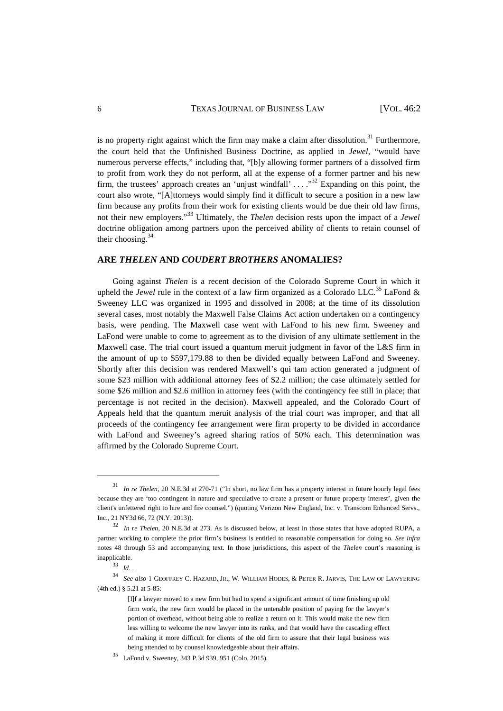#### 6 TEXAS JOURNAL OF BUSINESS LAW [VOL. 46:2

is no property right against which the firm may make a claim after dissolution.<sup>31</sup> Furthermore, the court held that the Unfinished Business Doctrine, as applied in *Jewel*, "would have numerous perverse effects," including that, "[b]y allowing former partners of a dissolved firm to profit from work they do not perform, all at the expense of a former partner and his new firm, the trustees' approach creates an 'uniust windfall'  $\ldots$   $\cdot$   $\cdot$  Expanding on this point, the court also wrote, "[A]ttorneys would simply find it difficult to secure a position in a new law firm because any profits from their work for existing clients would be due their old law firms, not their new employers."<sup>33</sup> Ultimately, the *Thelen* decision rests upon the impact of a *Jewel*  doctrine obligation among partners upon the perceived ability of clients to retain counsel of their choosing.<sup>34</sup>

#### **ARE** *THELEN* **AND** *COUDERT BROTHERS* **ANOMALIES?**

Going against *Thelen* is a recent decision of the Colorado Supreme Court in which it upheld the *Jewel* rule in the context of a law firm organized as a Colorado LLC*.* <sup>35</sup> LaFond & Sweeney LLC was organized in 1995 and dissolved in 2008; at the time of its dissolution several cases, most notably the Maxwell False Claims Act action undertaken on a contingency basis, were pending. The Maxwell case went with LaFond to his new firm. Sweeney and LaFond were unable to come to agreement as to the division of any ultimate settlement in the Maxwell case. The trial court issued a quantum meruit judgment in favor of the L&S firm in the amount of up to \$597,179.88 to then be divided equally between LaFond and Sweeney. Shortly after this decision was rendered Maxwell's qui tam action generated a judgment of some \$23 million with additional attorney fees of \$2.2 million; the case ultimately settled for some \$26 million and \$2.6 million in attorney fees (with the contingency fee still in place; that percentage is not recited in the decision). Maxwell appealed, and the Colorado Court of Appeals held that the quantum meruit analysis of the trial court was improper, and that all proceeds of the contingency fee arrangement were firm property to be divided in accordance with LaFond and Sweeney's agreed sharing ratios of 50% each. This determination was affirmed by the Colorado Supreme Court.

<sup>31</sup> *In re Thelen*, 20 N.E.3d at 270-71 ("In short, no law firm has a property interest in future hourly legal fees because they are 'too contingent in nature and speculative to create a present or future property interest', given the client's unfettered right to hire and fire counsel.") (quoting Verizon New England, Inc. v. Transcom Enhanced Servs., Inc., 21 NY3d 66, 72 (N.Y. 2013)).

In re Thelen, 20 N.E.3d at 273. As is discussed below, at least in those states that have adopted RUPA, a partner working to complete the prior firm's business is entitled to reasonable compensation for doing so. *See infra* notes 48 through 53 and accompanying text. In those jurisdictions, this aspect of the *Thelen* court's reasoning is inapplicable.

<sup>33</sup> *Id*. .

<sup>34</sup> *See also* 1 GEOFFREY C. HAZARD, JR., W. WILLIAM HODES, & PETER R. JARVIS, THE LAW OF LAWYERING (4th ed.) § 5.21 at 5-85:

<sup>[</sup>I]f a lawyer moved to a new firm but had to spend a significant amount of time finishing up old firm work, the new firm would be placed in the untenable position of paying for the lawyer's portion of overhead, without being able to realize a return on it. This would make the new firm less willing to welcome the new lawyer into its ranks, and that would have the cascading effect of making it more difficult for clients of the old firm to assure that their legal business was being attended to by counsel knowledgeable about their affairs.

<sup>35</sup> LaFond v. Sweeney, 343 P.3d 939, 951 (Colo. 2015).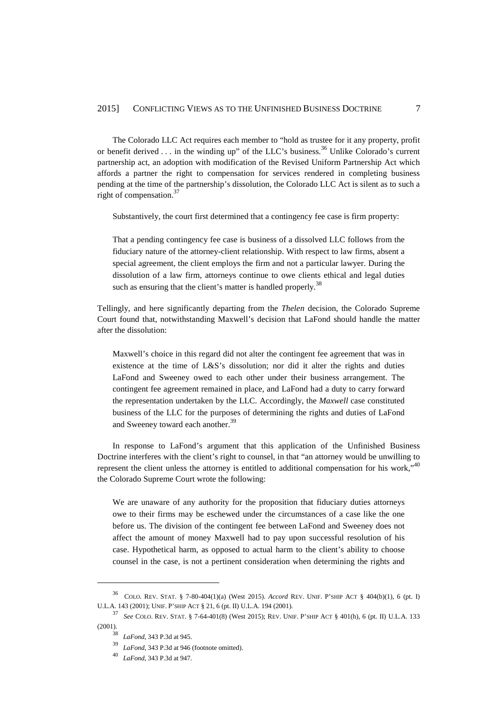The Colorado LLC Act requires each member to "hold as trustee for it any property, profit or benefit derived . . . in the winding up" of the LLC's business.<sup>36</sup> Unlike Colorado's current partnership act, an adoption with modification of the Revised Uniform Partnership Act which affords a partner the right to compensation for services rendered in completing business pending at the time of the partnership's dissolution, the Colorado LLC Act is silent as to such a right of compensation.<sup>37</sup>

Substantively, the court first determined that a contingency fee case is firm property:

That a pending contingency fee case is business of a dissolved LLC follows from the fiduciary nature of the attorney-client relationship. With respect to law firms, absent a special agreement, the client employs the firm and not a particular lawyer. During the dissolution of a law firm, attorneys continue to owe clients ethical and legal duties such as ensuring that the client's matter is handled properly.<sup>38</sup>

Tellingly, and here significantly departing from the *Thelen* decision, the Colorado Supreme Court found that, notwithstanding Maxwell's decision that LaFond should handle the matter after the dissolution:

Maxwell's choice in this regard did not alter the contingent fee agreement that was in existence at the time of L&S's dissolution; nor did it alter the rights and duties LaFond and Sweeney owed to each other under their business arrangement. The contingent fee agreement remained in place, and LaFond had a duty to carry forward the representation undertaken by the LLC. Accordingly, the *Maxwell* case constituted business of the LLC for the purposes of determining the rights and duties of LaFond and Sweeney toward each another.<sup>39</sup>

In response to LaFond's argument that this application of the Unfinished Business Doctrine interferes with the client's right to counsel, in that "an attorney would be unwilling to represent the client unless the attorney is entitled to additional compensation for his work,"<sup>40</sup> the Colorado Supreme Court wrote the following:

We are unaware of any authority for the proposition that fiduciary duties attorneys owe to their firms may be eschewed under the circumstances of a case like the one before us. The division of the contingent fee between LaFond and Sweeney does not affect the amount of money Maxwell had to pay upon successful resolution of his case. Hypothetical harm, as opposed to actual harm to the client's ability to choose counsel in the case, is not a pertinent consideration when determining the rights and

<sup>36</sup> COLO. REV. STAT. § 7-80-404(1)(a) (West 2015). *Accord* REV. UNIF. P'SHIP ACT § 404(b)(1), 6 (pt. I) U.L.A. 143 (2001); UNIF. P'SHIP ACT § 21, 6 (pt. II) U.L.A. 194 (2001).

<sup>37</sup> *See* COLO. REV. STAT. § 7-64-401(8) (West 2015); REV. UNIF. P'SHIP ACT § 401(h), 6 (pt. II) U.L.A. 133 (2001).

<sup>38</sup> *LaFond*, 343 P.3d at 945.

LaFond, 343 P.3d at 946 (footnote omitted).

<sup>40</sup> *LaFond*, 343 P.3d at 947.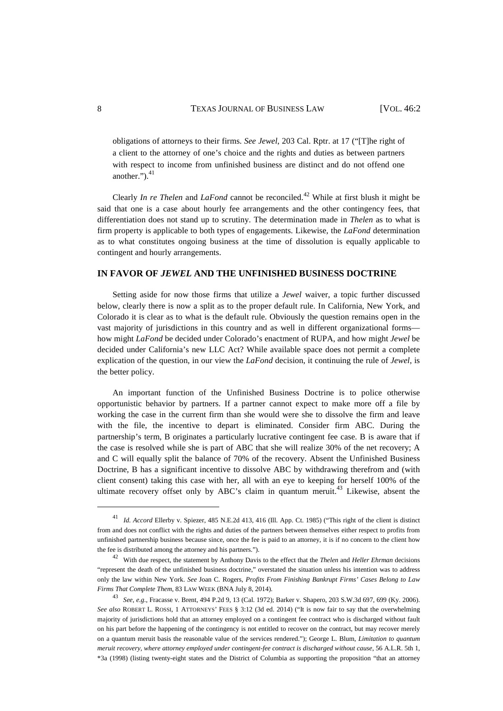obligations of attorneys to their firms. *See Jewel*, 203 Cal. Rptr. at 17 ("[T]he right of a client to the attorney of one's choice and the rights and duties as between partners with respect to income from unfinished business are distinct and do not offend one another." $)$ ,  $^{41}$ 

Clearly *In re Thelen* and *LaFond* cannot be reconciled.<sup>42</sup> While at first blush it might be said that one is a case about hourly fee arrangements and the other contingency fees, that differentiation does not stand up to scrutiny. The determination made in *Thelen* as to what is firm property is applicable to both types of engagements. Likewise, the *LaFond* determination as to what constitutes ongoing business at the time of dissolution is equally applicable to contingent and hourly arrangements.

#### **IN FAVOR OF** *JEWEL* **AND THE UNFINISHED BUSINESS DOCTRINE**

Setting aside for now those firms that utilize a *Jewel* waiver, a topic further discussed below, clearly there is now a split as to the proper default rule. In California, New York, and Colorado it is clear as to what is the default rule. Obviously the question remains open in the vast majority of jurisdictions in this country and as well in different organizational forms how might *LaFond* be decided under Colorado's enactment of RUPA, and how might *Jewel* be decided under California's new LLC Act? While available space does not permit a complete explication of the question, in our view the *LaFond* decision, it continuing the rule of *Jewel*, is the better policy.

An important function of the Unfinished Business Doctrine is to police otherwise opportunistic behavior by partners. If a partner cannot expect to make more off a file by working the case in the current firm than she would were she to dissolve the firm and leave with the file, the incentive to depart is eliminated. Consider firm ABC. During the partnership's term, B originates a particularly lucrative contingent fee case. B is aware that if the case is resolved while she is part of ABC that she will realize 30% of the net recovery; A and C will equally split the balance of 70% of the recovery. Absent the Unfinished Business Doctrine, B has a significant incentive to dissolve ABC by withdrawing therefrom and (with client consent) taking this case with her, all with an eye to keeping for herself 100% of the ultimate recovery offset only by ABC's claim in quantum meruit. $43$  Likewise, absent the

<sup>41</sup> *Id. Accord* Ellerby v. Spiezer, 485 N.E.2d 413, 416 (Ill. App. Ct. 1985) ("This right of the client is distinct from and does not conflict with the rights and duties of the partners between themselves either respect to profits from unfinished partnership business because since, once the fee is paid to an attorney, it is if no concern to the client how the fee is distributed among the attorney and his partners.").

<sup>42</sup> With due respect, the statement by Anthony Davis to the effect that the *Thelen* and *Heller Ehrman* decisions "represent the death of the unfinished business doctrine," overstated the situation unless his intention was to address only the law within New York. *See* Joan C. Rogers, *Profits From Finishing Bankrupt Firms' Cases Belong to Law Firms That Complete Them*, 83 LAW WEEK (BNA July 8, 2014).

<sup>43</sup> *See*, *e.g*., Fracasse v. Brent, 494 P.2d 9, 13 (Cal. 1972); Barker v. Shapero, 203 S.W.3d 697, 699 (Ky. 2006). *See also* ROBERT L. ROSSI, 1 ATTORNEYS' FEES § 3:12 (3d ed. 2014) ("It is now fair to say that the overwhelming majority of jurisdictions hold that an attorney employed on a contingent fee contract who is discharged without fault on his part before the happening of the contingency is not entitled to recover on the contract, but may recover merely on a quantum meruit basis the reasonable value of the services rendered."); George L. Blum, *Limitation to quantum meruit recovery, where attorney employed under contingent-fee contract is discharged without cause*, 56 A.L.R. 5th 1, \*3a (1998) (listing twenty-eight states and the District of Columbia as supporting the proposition "that an attorney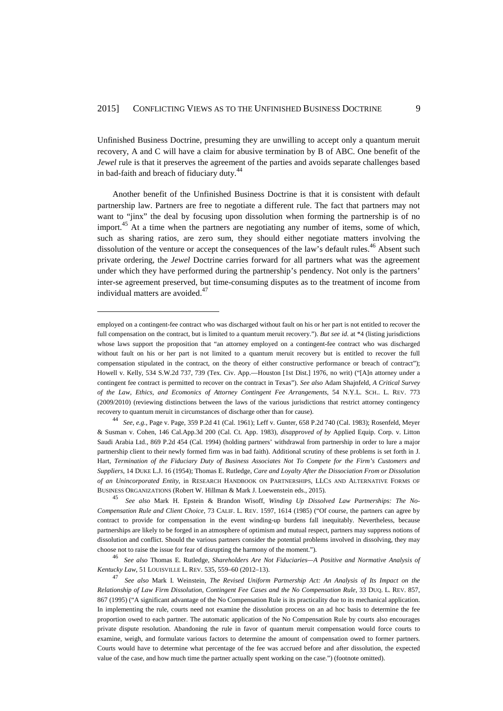Unfinished Business Doctrine, presuming they are unwilling to accept only a quantum meruit recovery, A and C will have a claim for abusive termination by B of ABC. One benefit of the *Jewel* rule is that it preserves the agreement of the parties and avoids separate challenges based in bad-faith and breach of fiduciary duty. $44$ 

Another benefit of the Unfinished Business Doctrine is that it is consistent with default partnership law. Partners are free to negotiate a different rule. The fact that partners may not want to "jinx" the deal by focusing upon dissolution when forming the partnership is of no import.<sup>45</sup> At a time when the partners are negotiating any number of items, some of which, such as sharing ratios, are zero sum, they should either negotiate matters involving the dissolution of the venture or accept the consequences of the law's default rules.<sup>46</sup> Absent such private ordering, the *Jewel* Doctrine carries forward for all partners what was the agreement under which they have performed during the partnership's pendency. Not only is the partners' inter-se agreement preserved, but time-consuming disputes as to the treatment of income from individual matters are avoided.<sup>47</sup>

employed on a contingent-fee contract who was discharged without fault on his or her part is not entitled to recover the full compensation on the contract, but is limited to a quantum meruit recovery."). *But see id.* at \*4 (listing jurisdictions whose laws support the proposition that "an attorney employed on a contingent-fee contract who was discharged without fault on his or her part is not limited to a quantum meruit recovery but is entitled to recover the full compensation stipulated in the contract, on the theory of either constructive performance or breach of contract"); Howell v. Kelly, 534 S.W.2d 737, 739 (Tex. Civ. App.—Houston [1st Dist.] 1976, no writ) ("[A]n attorney under a contingent fee contract is permitted to recover on the contract in Texas"). *See also* Adam Shajnfeld, *A Critical Survey of the Law, Ethics, and Ecomonics of Attorney Contingent Fee Arrangements*, 54 N.Y.L. SCH.. L. REV. 773 (2009/2010) (reviewing distinctions between the laws of the various jurisdictions that restrict attorney contingency recovery to quantum meruit in circumstances of discharge other than for cause).

<sup>44</sup> *See*, *e.g.*, Page v. Page, 359 P.2d 41 (Cal. 1961); Leff v. Gunter, 658 P.2d 740 (Cal. 1983); Rosenfeld, Meyer & Susman v. Cohen, 146 Cal.App.3d 200 (Cal. Ct. App. 1983), *disapproved of by* Applied Equip. Corp. v. Litton Saudi Arabia Ltd., 869 P.2d 454 (Cal. 1994) (holding partners' withdrawal from partnership in order to lure a major partnership client to their newly formed firm was in bad faith). Additional scrutiny of these problems is set forth in J. Hart, *Termination of the Fiduciary Duty of Business Associates Not To Compete for the Firm's Customers and Suppliers*, 14 DUKE L.J. 16 (1954); Thomas E. Rutledge, *Care and Loyalty After the Dissociation From or Dissolution of an Unincorporated Entity*, in RESEARCH HANDBOOK ON PARTNERSHIPS, LLCS AND ALTERNATIVE FORMS OF BUSINESS ORGANIZATIONS (Robert W. Hillman & Mark J. Loewenstein eds., 2015).

<sup>45</sup> *See also* Mark H. Epstein & Brandon Wisoff, *Winding Up Dissolved Law Partnerships: The No-Compensation Rule and Client Choice*, 73 CALIF. L. REV. 1597, 1614 (1985) ("Of course, the partners can agree by contract to provide for compensation in the event winding-up burdens fall inequitably. Nevertheless, because partnerships are likely to be forged in an atmosphere of optimism and mutual respect, partners may suppress notions of dissolution and conflict. Should the various partners consider the potential problems involved in dissolving, they may choose not to raise the issue for fear of disrupting the harmony of the moment.").

<sup>46</sup> *See also* Thomas E. Rutledge, *Shareholders Are Not Fiduciaries—A Positive and Normative Analysis of Kentucky Law*, 51 LOUISVILLE L. REV. 535, 559–60 (2012–13).

<sup>47</sup> *See also* Mark I. Weinstein, *The Revised Uniform Partnership Act: An Analysis of Its Impact on the Relationship of Law Firm Dissolution, Contingent Fee Cases and the No Compensation Rule*, 33 DUQ. L. REV. 857, 867 (1995) ("A significant advantage of the No Compensation Rule is its practicality due to its mechanical application. In implementing the rule, courts need not examine the dissolution process on an ad hoc basis to determine the fee proportion owed to each partner. The automatic application of the No Compensation Rule by courts also encourages private dispute resolution. Abandoning the rule in favor of quantum meruit compensation would force courts to examine, weigh, and formulate various factors to determine the amount of compensation owed to former partners. Courts would have to determine what percentage of the fee was accrued before and after dissolution, the expected value of the case, and how much time the partner actually spent working on the case.") (footnote omitted).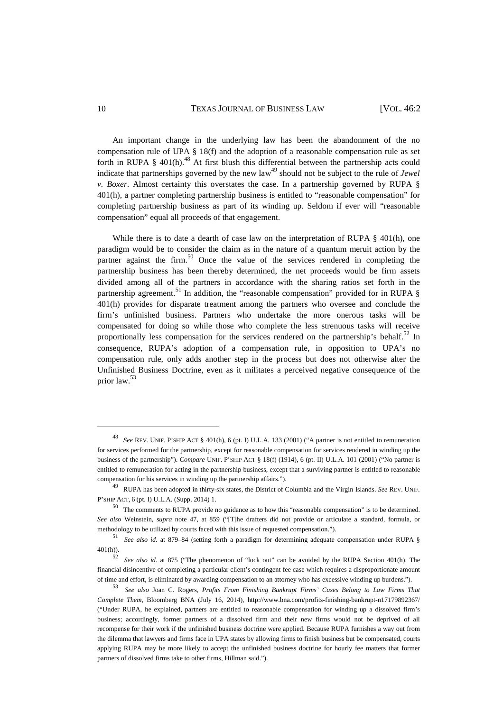#### 10 TEXAS JOURNAL OF BUSINESS LAW [VOL. 46:2

An important change in the underlying law has been the abandonment of the no compensation rule of UPA § 18(f) and the adoption of a reasonable compensation rule as set forth in RUPA § 401(h).<sup>48</sup> At first blush this differential between the partnership acts could indicate that partnerships governed by the new  $law<sup>49</sup>$  should not be subject to the rule of *Jewel v. Boxer*. Almost certainty this overstates the case. In a partnership governed by RUPA § 401(h), a partner completing partnership business is entitled to "reasonable compensation" for completing partnership business as part of its winding up. Seldom if ever will "reasonable compensation" equal all proceeds of that engagement.

While there is to date a dearth of case law on the interpretation of RUPA § 401(h), one paradigm would be to consider the claim as in the nature of a quantum meruit action by the partner against the firm.<sup>50</sup> Once the value of the services rendered in completing the partnership business has been thereby determined, the net proceeds would be firm assets divided among all of the partners in accordance with the sharing ratios set forth in the partnership agreement.<sup>51</sup> In addition, the "reasonable compensation" provided for in RUPA  $\&$ 401(h) provides for disparate treatment among the partners who oversee and conclude the firm's unfinished business. Partners who undertake the more onerous tasks will be compensated for doing so while those who complete the less strenuous tasks will receive proportionally less compensation for the services rendered on the partnership's behalf.<sup>52</sup> In consequence, RUPA's adoption of a compensation rule, in opposition to UPA's no compensation rule, only adds another step in the process but does not otherwise alter the Unfinished Business Doctrine, even as it militates a perceived negative consequence of the prior law.<sup>53</sup>

<sup>48</sup> *See* REV. UNIF. P'SHIP ACT § 401(h), 6 (pt. I) U.L.A. 133 (2001) ("A partner is not entitled to remuneration for services performed for the partnership, except for reasonable compensation for services rendered in winding up the business of the partnership"). *Compare* UNIF. P'SHIP ACT § 18(f) (1914), 6 (pt. II) U.L.A. 101 (2001) ("No partner is entitled to remuneration for acting in the partnership business, except that a surviving partner is entitled to reasonable compensation for his services in winding up the partnership affairs.").

<sup>49</sup> RUPA has been adopted in thirty-six states, the District of Columbia and the Virgin Islands. *See* REV. UNIF. P'SHIP ACT, 6 (pt. I) U.L.A. (Supp. 2014) 1.

<sup>50</sup> The comments to RUPA provide no guidance as to how this "reasonable compensation" is to be determined. *See also* Weinstein, *supra* note 47, at 859 ("[T]he drafters did not provide or articulate a standard, formula, or methodology to be utilized by courts faced with this issue of requested compensation.").

<sup>51</sup> *See also id*. at 879–84 (setting forth a paradigm for determining adequate compensation under RUPA § 401(h)).

<sup>52</sup> *See also id*. at 875 ("The phenomenon of "lock out" can be avoided by the RUPA Section 401(h). The financial disincentive of completing a particular client's contingent fee case which requires a disproportionate amount of time and effort, is eliminated by awarding compensation to an attorney who has excessive winding up burdens.").

<sup>53</sup> *See also* Joan C. Rogers, *Profits From Finishing Bankrupt Firms' Cases Belong to Law Firms That Complete Them*, Bloomberg BNA (July 16, 2014), http://www.bna.com/profits-finishing-bankrupt-n17179892367/ ("Under RUPA, he explained, partners are entitled to reasonable compensation for winding up a dissolved firm's business; accordingly, former partners of a dissolved firm and their new firms would not be deprived of all recompense for their work if the unfinished business doctrine were applied. Because RUPA furnishes a way out from the dilemma that lawyers and firms face in UPA states by allowing firms to finish business but be compensated, courts applying RUPA may be more likely to accept the unfinished business doctrine for hourly fee matters that former partners of dissolved firms take to other firms, Hillman said.").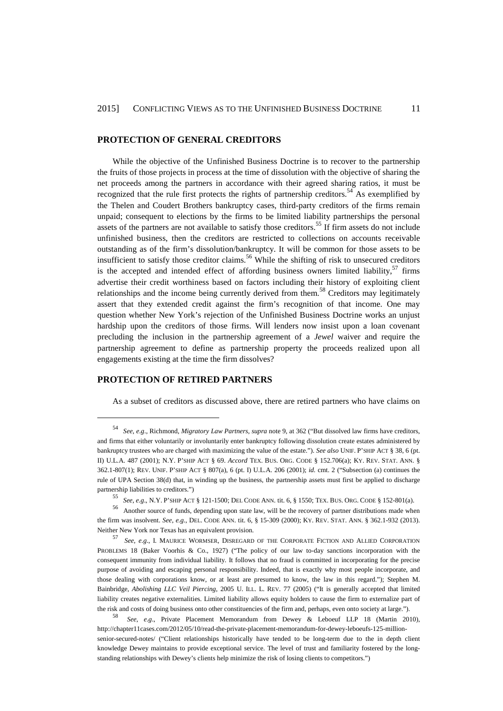#### **PROTECTION OF GENERAL CREDITORS**

While the objective of the Unfinished Business Doctrine is to recover to the partnership the fruits of those projects in process at the time of dissolution with the objective of sharing the net proceeds among the partners in accordance with their agreed sharing ratios, it must be recognized that the rule first protects the rights of partnership creditors.<sup>54</sup> As exemplified by the Thelen and Coudert Brothers bankruptcy cases, third-party creditors of the firms remain unpaid; consequent to elections by the firms to be limited liability partnerships the personal assets of the partners are not available to satisfy those creditors.<sup>55</sup> If firm assets do not include unfinished business, then the creditors are restricted to collections on accounts receivable outstanding as of the firm's dissolution/bankruptcy. It will be common for those assets to be insufficient to satisfy those creditor claims.<sup>56</sup> While the shifting of risk to unsecured creditors is the accepted and intended effect of affording business owners limited liability, $57$  firms advertise their credit worthiness based on factors including their history of exploiting client relationships and the income being currently derived from them.<sup>58</sup> Creditors may legitimately assert that they extended credit against the firm's recognition of that income. One may question whether New York's rejection of the Unfinished Business Doctrine works an unjust hardship upon the creditors of those firms. Will lenders now insist upon a loan covenant precluding the inclusion in the partnership agreement of a *Jewel* waiver and require the partnership agreement to define as partnership property the proceeds realized upon all engagements existing at the time the firm dissolves?

#### **PROTECTION OF RETIRED PARTNERS**

 $\overline{a}$ 

As a subset of creditors as discussed above, there are retired partners who have claims on

<sup>54</sup> *See*, *e.g*., Richmond, *Migratory Law Partners*, *supra* note 9, at 362 ("But dissolved law firms have creditors, and firms that either voluntarily or involuntarily enter bankruptcy following dissolution create estates administered by bankruptcy trustees who are charged with maximizing the value of the estate."). *See also* UNIF. P'SHIP ACT § 38, 6 (pt. II) U.L.A. 487 (2001); N.Y. P'SHIP ACT § 69. *Accord* TEX. BUS. ORG. CODE § 152.706(a); KY. REV. STAT. ANN. § 362.1-807(1); REV. UNIF. P'SHIP ACT § 807(a), 6 (pt. I) U.L.A. 206 (2001); *id.* cmt. 2 ("Subsection (a) continues the rule of UPA Section 38(d) that, in winding up the business, the partnership assets must first be applied to discharge partnership liabilities to creditors.")

<sup>55</sup> *See*, *e.g*., N.Y. P'SHIP ACT § 121-1500; DEL CODE ANN. tit. 6, § 1550; TEX. BUS. ORG. CODE § 152-801(a).

<sup>56</sup> Another source of funds, depending upon state law, will be the recovery of partner distributions made when the firm was insolvent. *See*, *e.g*., DEL. CODE ANN. tit. 6, § 15-309 (2000); KY. REV. STAT. ANN. § 362.1-932 (2013). Neither New York nor Texas has an equivalent provision.

<sup>57</sup> *See*, *e.g*., I. MAURICE WORMSER, DISREGARD OF THE CORPORATE FICTION AND ALLIED CORPORATION PROBLEMS 18 (Baker Voorhis & Co., 1927) ("The policy of our law to-day sanctions incorporation with the consequent immunity from individual liability. It follows that no fraud is committed in incorporating for the precise purpose of avoiding and escaping personal responsibility. Indeed, that is exactly why most people incorporate, and those dealing with corporations know, or at least are presumed to know, the law in this regard."); Stephen M. Bainbridge, *Abolishing LLC Veil Piercing*, 2005 U. ILL. L. REV. 77 (2005) ("It is generally accepted that limited liability creates negative externalities. Limited liability allows equity holders to cause the firm to externalize part of the risk and costs of doing business onto other constituencies of the firm and, perhaps, even onto society at large.").

<sup>58</sup> *See*, *e.g*., Private Placement Memorandum from Dewey & Leboeuf LLP 18 (Martin 2010), http://chapter11cases.com/2012/05/10/read-the-private-placement-memorandum-for-dewey-leboeufs-125-millionsenior-secured-notes/ ("Client relationships historically have tended to be long-term due to the in depth client knowledge Dewey maintains to provide exceptional service. The level of trust and familiarity fostered by the longstanding relationships with Dewey's clients help minimize the risk of losing clients to competitors.")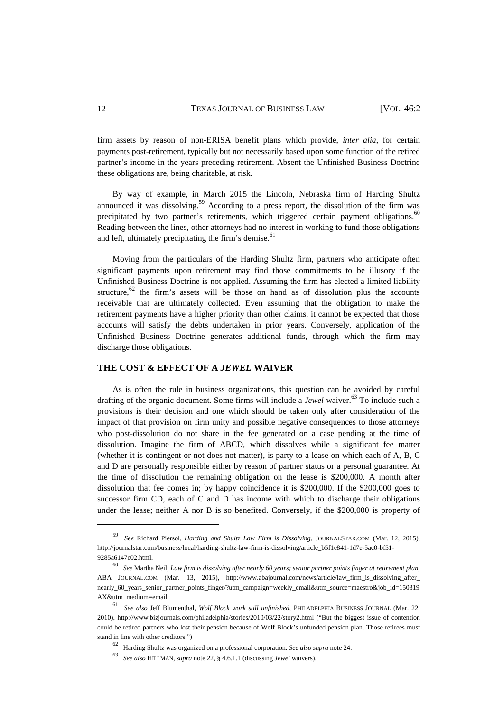firm assets by reason of non-ERISA benefit plans which provide, *inter alia*, for certain payments post-retirement, typically but not necessarily based upon some function of the retired partner's income in the years preceding retirement. Absent the Unfinished Business Doctrine these obligations are, being charitable, at risk.

By way of example, in March 2015 the Lincoln, Nebraska firm of Harding Shultz announced it was dissolving.<sup>59</sup> According to a press report, the dissolution of the firm was precipitated by two partner's retirements, which triggered certain payment obligations. $60$ Reading between the lines, other attorneys had no interest in working to fund those obligations and left, ultimately precipitating the firm's demise.<sup>61</sup>

Moving from the particulars of the Harding Shultz firm, partners who anticipate often significant payments upon retirement may find those commitments to be illusory if the Unfinished Business Doctrine is not applied. Assuming the firm has elected a limited liability structure,  $62$  the firm's assets will be those on hand as of dissolution plus the accounts receivable that are ultimately collected. Even assuming that the obligation to make the retirement payments have a higher priority than other claims, it cannot be expected that those accounts will satisfy the debts undertaken in prior years. Conversely, application of the Unfinished Business Doctrine generates additional funds, through which the firm may discharge those obligations.

#### **THE COST & EFFECT OF A** *JEWEL* **WAIVER**

As is often the rule in business organizations, this question can be avoided by careful drafting of the organic document. Some firms will include a *Jewel* waiver.<sup>63</sup> To include such a provisions is their decision and one which should be taken only after consideration of the impact of that provision on firm unity and possible negative consequences to those attorneys who post-dissolution do not share in the fee generated on a case pending at the time of dissolution. Imagine the firm of ABCD, which dissolves while a significant fee matter (whether it is contingent or not does not matter), is party to a lease on which each of A, B, C and D are personally responsible either by reason of partner status or a personal guarantee. At the time of dissolution the remaining obligation on the lease is \$200,000. A month after dissolution that fee comes in; by happy coincidence it is \$200,000. If the \$200,000 goes to successor firm CD, each of C and D has income with which to discharge their obligations under the lease; neither A nor B is so benefited. Conversely, if the \$200,000 is property of

<sup>59</sup> *See* Richard Piersol, *Harding and Shultz Law Firm is Dissolving*, JOURNALSTAR.COM (Mar. 12, 2015), http://journalstar.com/business/local/harding-shultz-law-firm-is-dissolving/article\_b5f1e841-1d7e-5ac0-bf51- 9285a6147c02.html.

<sup>60</sup> *See* Martha Neil, *Law firm is dissolving after nearly 60 years; senior partner points finger at retirement plan*, ABA JOURNAL.COM (Mar. 13, 2015), http://www.abajournal.com/news/article/law\_firm\_is\_dissolving\_after\_ nearly\_60\_years\_senior\_partner\_points\_finger/?utm\_campaign=weekly\_email&utm\_source=maestro&job\_id=150319 AX&utm\_medium=email.

<sup>61</sup> *See also* Jeff Blumenthal, *Wolf Block work still unfinished*, PHILADELPHIA BUSINESS JOURNAL (Mar. 22, 2010), http://www.bizjournals.com/philadelphia/stories/2010/03/22/story2.html ("But the biggest issue of contention could be retired partners who lost their pension because of Wolf Block's unfunded pension plan. Those retirees must stand in line with other creditors.")

<sup>62</sup> Harding Shultz was organized on a professional corporation. *See also supra* note 24.

<sup>63</sup> *See also* HILLMAN, *supra* note 22, § 4.6.1.1 (discussing *Jewel* waivers).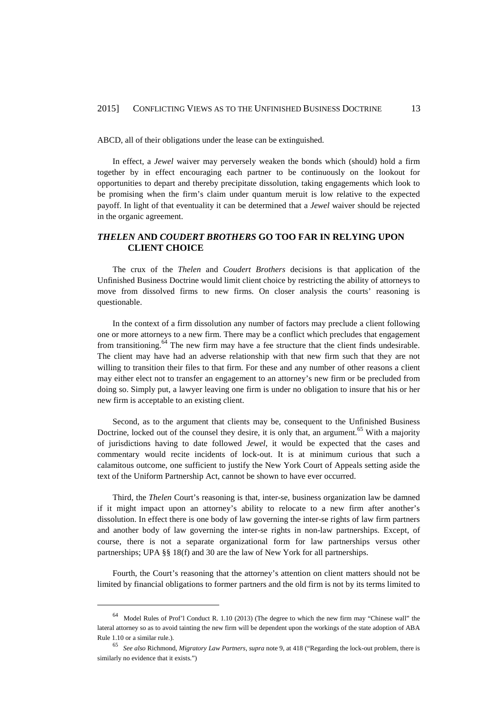ABCD, all of their obligations under the lease can be extinguished.

In effect, a *Jewel* waiver may perversely weaken the bonds which (should) hold a firm together by in effect encouraging each partner to be continuously on the lookout for opportunities to depart and thereby precipitate dissolution, taking engagements which look to be promising when the firm's claim under quantum meruit is low relative to the expected payoff. In light of that eventuality it can be determined that a *Jewel* waiver should be rejected in the organic agreement.

#### *THELEN* **AND** *COUDERT BROTHERS* **GO TOO FAR IN RELYING UPON CLIENT CHOICE**

The crux of the *Thelen* and *Coudert Brothers* decisions is that application of the Unfinished Business Doctrine would limit client choice by restricting the ability of attorneys to move from dissolved firms to new firms. On closer analysis the courts' reasoning is questionable.

In the context of a firm dissolution any number of factors may preclude a client following one or more attorneys to a new firm. There may be a conflict which precludes that engagement from transitioning.<sup>64</sup> The new firm may have a fee structure that the client finds undesirable. The client may have had an adverse relationship with that new firm such that they are not willing to transition their files to that firm. For these and any number of other reasons a client may either elect not to transfer an engagement to an attorney's new firm or be precluded from doing so. Simply put, a lawyer leaving one firm is under no obligation to insure that his or her new firm is acceptable to an existing client.

Second, as to the argument that clients may be, consequent to the Unfinished Business Doctrine, locked out of the counsel they desire, it is only that, an argument.<sup>65</sup> With a majority of jurisdictions having to date followed *Jewel*, it would be expected that the cases and commentary would recite incidents of lock-out. It is at minimum curious that such a calamitous outcome, one sufficient to justify the New York Court of Appeals setting aside the text of the Uniform Partnership Act, cannot be shown to have ever occurred.

Third, the *Thelen* Court's reasoning is that, inter-se, business organization law be damned if it might impact upon an attorney's ability to relocate to a new firm after another's dissolution. In effect there is one body of law governing the inter-se rights of law firm partners and another body of law governing the inter-se rights in non-law partnerships. Except, of course, there is not a separate organizational form for law partnerships versus other partnerships; UPA §§ 18(f) and 30 are the law of New York for all partnerships.

Fourth, the Court's reasoning that the attorney's attention on client matters should not be limited by financial obligations to former partners and the old firm is not by its terms limited to

<sup>64</sup> Model Rules of Prof'l Conduct R. 1.10 (2013) (The degree to which the new firm may "Chinese wall" the lateral attorney so as to avoid tainting the new firm will be dependent upon the workings of the state adoption of ABA Rule 1.10 or a similar rule.).

<sup>65</sup> *See also* Richmond, *Migratory Law Partners*, *supra* note 9, at 418 ("Regarding the lock-out problem, there is similarly no evidence that it exists.")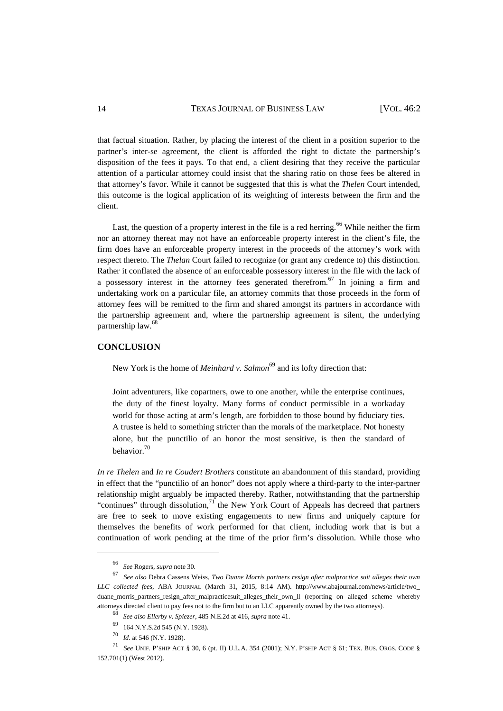14 TEXAS JOURNAL OF BUSINESS LAW [VOL. 46:2

that factual situation. Rather, by placing the interest of the client in a position superior to the partner's inter-se agreement, the client is afforded the right to dictate the partnership's disposition of the fees it pays. To that end, a client desiring that they receive the particular attention of a particular attorney could insist that the sharing ratio on those fees be altered in that attorney's favor. While it cannot be suggested that this is what the *Thelen* Court intended, this outcome is the logical application of its weighting of interests between the firm and the client.

Last, the question of a property interest in the file is a red herring.<sup>66</sup> While neither the firm nor an attorney thereat may not have an enforceable property interest in the client's file, the firm does have an enforceable property interest in the proceeds of the attorney's work with respect thereto. The *Thelan* Court failed to recognize (or grant any credence to) this distinction. Rather it conflated the absence of an enforceable possessory interest in the file with the lack of a possessory interest in the attorney fees generated therefrom.<sup>67</sup> In joining a firm and undertaking work on a particular file, an attorney commits that those proceeds in the form of attorney fees will be remitted to the firm and shared amongst its partners in accordance with the partnership agreement and, where the partnership agreement is silent, the underlying partnership law.<sup>68</sup>

#### **CONCLUSION**

New York is the home of *Meinhard v. Salmon*<sup>69</sup> and its lofty direction that:

Joint adventurers, like copartners, owe to one another, while the enterprise continues, the duty of the finest loyalty. Many forms of conduct permissible in a workaday world for those acting at arm's length, are forbidden to those bound by fiduciary ties. A trustee is held to something stricter than the morals of the marketplace. Not honesty alone, but the punctilio of an honor the most sensitive, is then the standard of behavior.<sup>70</sup>

*In re Thelen* and *In re Coudert Brothers* constitute an abandonment of this standard, providing in effect that the "punctilio of an honor" does not apply where a third-party to the inter-partner relationship might arguably be impacted thereby. Rather, notwithstanding that the partnership "continues" through dissolution, $<sup>71</sup>$  the New York Court of Appeals has decreed that partners</sup> are free to seek to move existing engagements to new firms and uniquely capture for themselves the benefits of work performed for that client, including work that is but a continuation of work pending at the time of the prior firm's dissolution. While those who

<sup>66</sup> *See* Rogers, *supra* note 30.

<sup>67</sup> *See also* Debra Cassens Weiss, *Two Duane Morris partners resign after malpractice suit alleges their own LLC collected fees*, ABA JOURNAL (March 31, 2015, 8:14 AM). http://www.abajournal.com/news/article/two\_ duane\_morris\_partners\_resign\_after\_malpracticesuit\_alleges\_their\_own\_ll (reporting on alleged scheme whereby attorneys directed client to pay fees not to the firm but to an LLC apparently owned by the two attorneys).

<sup>68</sup> *See also Ellerby v. Spiezer*, 485 N.E.2d at 416, *supra* note 41.

<sup>69</sup> 164 N.Y.S.2d 545 (N.Y. 1928).

<sup>70</sup> *Id*. at 546 (N.Y. 1928).

<sup>71</sup> *See* UNIF. P'SHIP ACT § 30, 6 (pt. II) U.L.A. 354 (2001); N.Y. P'SHIP ACT § 61; TEX. BUS. ORGS. CODE § 152.701(1) (West 2012).